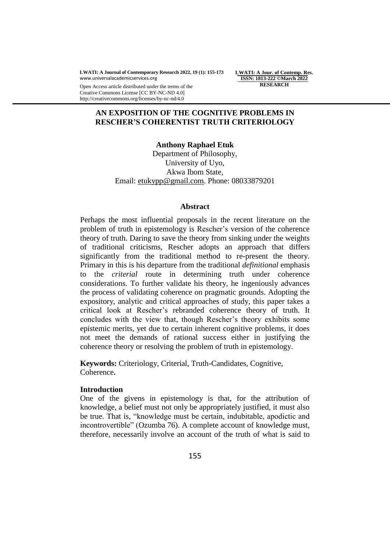**LWATI: A Jour. of Contemp. Res. ISSN: 1813-222 ©March 2022 RESEARCH**

Open Access article distributed under the terms of the Creative Commons License [CC BY-NC-ND 4.0] http://creativecommons.org/licenses/by-nc-nd/4.0

## **AN EXPOSITION OF THE COGNITIVE PROBLEMS IN RESCHER"S COHERENTIST TRUTH CRITERIOLOGY**

**Anthony Raphael Etuk** Department of Philosophy, University of Uyo, Akwa Ibom State, Email: [etukypp@gmail.com.](mailto:etukypp@gmail.com) Phone: 08033879201

#### **Abstract**

Perhaps the most influential proposals in the recent literature on the problem of truth in epistemology is Rescher"s version of the coherence theory of truth. Daring to save the theory from sinking under the weights of traditional criticisms, Rescher adopts an approach that differs significantly from the traditional method to re-present the theory. Primary in this is his departure from the traditional *definitional* emphasis to the *criterial* route in determining truth under coherence considerations. To further validate his theory, he ingeniously advances the process of validating coherence on pragmatic grounds. Adopting the expository, analytic and critical approaches of study, this paper takes a critical look at Rescher"s rebranded coherence theory of truth. It concludes with the view that, though Rescher"s theory exhibits some epistemic merits, yet due to certain inherent cognitive problems, it does not meet the demands of rational success either in justifying the coherence theory or resolving the problem of truth in epistemology.

**Keywords:** Criteriology, Criterial, Truth-Candidates, Cognitive, Coherence**.**

#### **Introduction**

One of the givens in epistemology is that, for the attribution of knowledge, a belief must not only be appropriately justified, it must also be true. That is, "knowledge must be certain, indubitable, apodictic and incontrovertible" (Ozumba 76). A complete account of knowledge must, therefore, necessarily involve an account of the truth of what is said to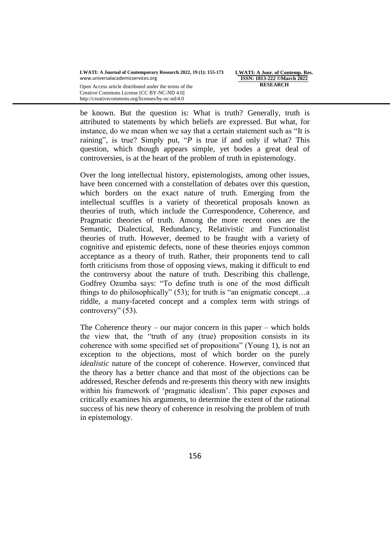**LWATI: A Jour. of Contemp. Res. ISSN: 1813-222 ©March 2022 RESEARCH**

Creative Commons License [CC BY-NC-ND 4.0] http://creativecommons.org/licenses/by-nc-nd/4.0

be known. But the question is: What is truth? Generally, truth is attributed to statements by which beliefs are expressed. But what, for instance, do we mean when we say that a certain statement such as "It is raining", is true? Simply put, "*P* is true if and only if what? This question, which though appears simple, yet bodes a great deal of controversies, is at the heart of the problem of truth in epistemology.

Over the long intellectual history, epistemologists, among other issues, have been concerned with a constellation of debates over this question, which borders on the exact nature of truth. Emerging from the intellectual scuffles is a variety of theoretical proposals known as theories of truth, which include the Correspondence, Coherence, and Pragmatic theories of truth. Among the more recent ones are the Semantic, Dialectical, Redundancy, Relativistic and Functionalist theories of truth. However, deemed to be fraught with a variety of cognitive and epistemic defects, none of these theories enjoys common acceptance as a theory of truth. Rather, their proponents tend to call forth criticisms from those of opposing views, making it difficult to end the controversy about the nature of truth. Describing this challenge, Godfrey Ozumba says: "To define truth is one of the most difficult things to do philosophically" (53); for truth is "an enigmatic concept…a riddle, a many-faceted concept and a complex term with strings of controversy" (53).

The Coherence theory – our major concern in this paper – which holds the view that, the "truth of any (true) proposition consists in its coherence with some specified set of propositions" (Young 1), is not an exception to the objections, most of which border on the purely *idealistic* nature of the concept of coherence. However, convinced that the theory has a better chance and that most of the objections can be addressed, Rescher defends and re-presents this theory with new insights within his framework of 'pragmatic idealism'. This paper exposes and critically examines his arguments, to determine the extent of the rational success of his new theory of coherence in resolving the problem of truth in epistemology.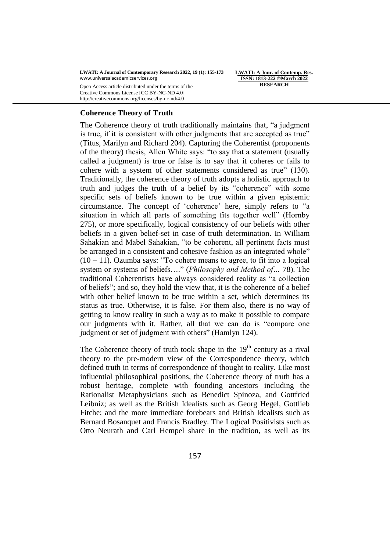Open Access article distributed under the terms of the Creative Commons License [CC BY-NC-ND 4.0] http://creativecommons.org/licenses/by-nc-nd/4.0

**LWATI: A Jour. of Contemp. Res. ISSN: 1813-222 ©March 2022 RESEARCH**

### **Coherence Theory of Truth**

The Coherence theory of truth traditionally maintains that, "a judgment is true, if it is consistent with other judgments that are accepted as true" (Titus, Marilyn and Richard 204). Capturing the Coherentist (proponents of the theory) thesis, Allen White says: "to say that a statement (usually called a judgment) is true or false is to say that it coheres or fails to cohere with a system of other statements considered as true" (130). Traditionally, the coherence theory of truth adopts a holistic approach to truth and judges the truth of a belief by its "coherence" with some specific sets of beliefs known to be true within a given epistemic circumstance. The concept of "coherence" here, simply refers to "a situation in which all parts of something fits together well" (Hornby 275), or more specifically, logical consistency of our beliefs with other beliefs in a given belief-set in case of truth determination. In William Sahakian and Mabel Sahakian, "to be coherent, all pertinent facts must be arranged in a consistent and cohesive fashion as an integrated whole"  $(10 - 11)$ . Ozumba says: "To cohere means to agree, to fit into a logical system or systems of beliefs…." (*Philosophy and Method of…* 78). The traditional Coherentists have always considered reality as "a collection of beliefs"; and so, they hold the view that, it is the coherence of a belief with other belief known to be true within a set, which determines its status as true. Otherwise, it is false. For them also, there is no way of getting to know reality in such a way as to make it possible to compare our judgments with it. Rather, all that we can do is "compare one judgment or set of judgment with others" (Hamlyn 124).

The Coherence theory of truth took shape in the  $19<sup>th</sup>$  century as a rival theory to the pre-modern view of the Correspondence theory, which defined truth in terms of correspondence of thought to reality. Like most influential philosophical positions, the Coherence theory of truth has a robust heritage, complete with founding ancestors including the Rationalist Metaphysicians such as Benedict Spinoza, and Gottfried Leibniz; as well as the British Idealists such as Georg Hegel, Gottlieb Fitche; and the more immediate forebears and British Idealists such as Bernard Bosanquet and Francis Bradley. The Logical Positivists such as Otto Neurath and Carl Hempel share in the tradition, as well as its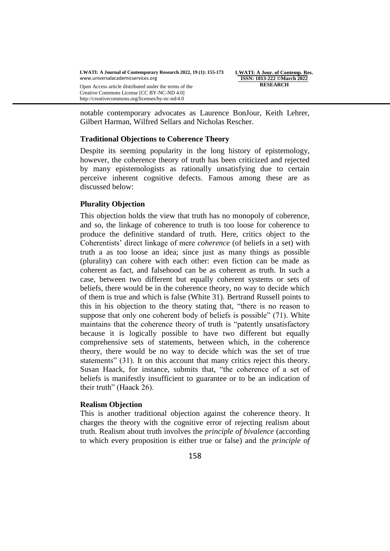Creative Commons License [CC BY-NC-ND 4.0] http://creativecommons.org/licenses/by-nc-nd/4.0

**LWATI: A Jour. of Contemp. Res. ISSN: 1813-222 ©March 2022 RESEARCH**

notable contemporary advocates as Laurence BonJour, Keith Lehrer, Gilbert Harman, Wilfred Sellars and Nicholas Rescher.

#### **Traditional Objections to Coherence Theory**

Despite its seeming popularity in the long history of epistemology, however, the coherence theory of truth has been criticized and rejected by many epistemologists as rationally unsatisfying due to certain perceive inherent cognitive defects. Famous among these are as discussed below:

#### **Plurality Objection**

This objection holds the view that truth has no monopoly of coherence, and so, the linkage of coherence to truth is too loose for coherence to produce the definitive standard of truth. Here, critics object to the Coherentists" direct linkage of mere *coherence* (of beliefs in a set) with truth a as too loose an idea; since just as many things as possible (plurality) can cohere with each other: even fiction can be made as coherent as fact, and falsehood can be as coherent as truth. In such a case, between two different but equally coherent systems or sets of beliefs, there would be in the coherence theory, no way to decide which of them is true and which is false (White 31). Bertrand Russell points to this in his objection to the theory stating that, "there is no reason to suppose that only one coherent body of beliefs is possible" (71). White maintains that the coherence theory of truth is "patently unsatisfactory because it is logically possible to have two different but equally comprehensive sets of statements, between which, in the coherence theory, there would be no way to decide which was the set of true statements" (31). It on this account that many critics reject this theory. Susan Haack, for instance, submits that, "the coherence of a set of beliefs is manifestly insufficient to guarantee or to be an indication of their truth" (Haack 26).

## **Realism Objection**

This is another traditional objection against the coherence theory. It charges the theory with the cognitive error of rejecting realism about truth. Realism about truth involves the *principle of bivalence* (according to which every proposition is either true or false) and the *principle of*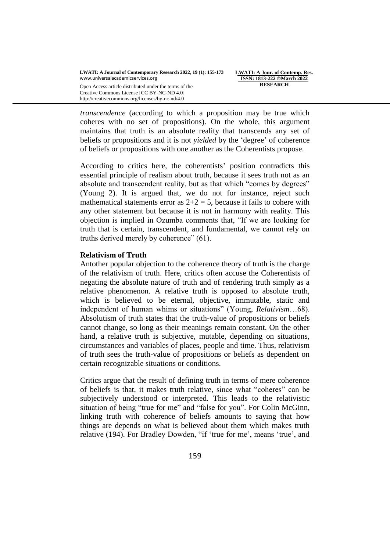http://creativecommons.org/licenses/by-nc-nd/4.0

**LWATI: A Jour. of Contemp. Res. ISSN: 1813-222 ©March 2022 RESEARCH**

*transcendence* (according to which a proposition may be true which coheres with no set of propositions). On the whole, this argument maintains that truth is an absolute reality that transcends any set of beliefs or propositions and it is not *yielded* by the 'degree' of coherence of beliefs or propositions with one another as the Coherentists propose.

According to critics here, the coherentists' position contradicts this essential principle of realism about truth, because it sees truth not as an absolute and transcendent reality, but as that which "comes by degrees" (Young 2). It is argued that, we do not for instance, reject such mathematical statements error as  $2+2 = 5$ , because it fails to cohere with any other statement but because it is not in harmony with reality. This objection is implied in Ozumba comments that, "If we are looking for truth that is certain, transcendent, and fundamental, we cannot rely on truths derived merely by coherence" (61).

## **Relativism of Truth**

Antother popular objection to the coherence theory of truth is the charge of the relativism of truth. Here, critics often accuse the Coherentists of negating the absolute nature of truth and of rendering truth simply as a relative phenomenon. A relative truth is opposed to absolute truth, which is believed to be eternal, objective, immutable, static and independent of human whims or situations" (Young, *Relativism*…68). Absolutism of truth states that the truth-value of propositions or beliefs cannot change, so long as their meanings remain constant. On the other hand, a relative truth is subjective, mutable, depending on situations, circumstances and variables of places, people and time. Thus, relativism of truth sees the truth-value of propositions or beliefs as dependent on certain recognizable situations or conditions.

Critics argue that the result of defining truth in terms of mere coherence of beliefs is that, it makes truth relative, since what "coheres" can be subjectively understood or interpreted. This leads to the relativistic situation of being "true for me" and "false for you". For Colin McGinn, linking truth with coherence of beliefs amounts to saying that how things are depends on what is believed about them which makes truth relative (194). For Bradley Dowden, "if 'true for me', means 'true', and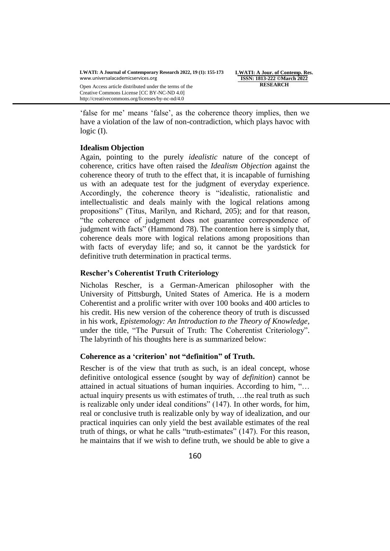http://creativecommons.org/licenses/by-nc-nd/4.0

**LWATI: A Jour. of Contemp. Res. ISSN: 1813-222 ©March 2022 RESEARCH**

'false for me' means 'false', as the coherence theory implies, then we have a violation of the law of non-contradiction, which plays havoc with logic (I).

# **Idealism Objection**

Again, pointing to the purely *idealistic* nature of the concept of coherence, critics have often raised the *Idealism Objection* against the coherence theory of truth to the effect that, it is incapable of furnishing us with an adequate test for the judgment of everyday experience. Accordingly, the coherence theory is "idealistic, rationalistic and intellectualistic and deals mainly with the logical relations among propositions" (Titus, Marilyn, and Richard, 205); and for that reason, "the coherence of judgment does not guarantee correspondence of judgment with facts" (Hammond 78). The contention here is simply that, coherence deals more with logical relations among propositions than with facts of everyday life; and so, it cannot be the yardstick for definitive truth determination in practical terms.

## **Rescher"s Coherentist Truth Criteriology**

Nicholas Rescher, is a German-American philosopher with the University of Pittsburgh, United States of America. He is a modern Coherentist and a prolific writer with over 100 books and 400 articles to his credit. His new version of the coherence theory of truth is discussed in his work, *Epistemology: An Introduction to the Theory of Knowledge*, under the title, "The Pursuit of Truth: The Coherentist Criteriology". The labyrinth of his thoughts here is as summarized below:

### **Coherence as a "criterion" not "definition" of Truth.**

Rescher is of the view that truth as such, is an ideal concept, whose definitive ontological essence (sought by way of *definition*) cannot be attained in actual situations of human inquiries. According to him, "… actual inquiry presents us with estimates of truth, …the real truth as such is realizable only under ideal conditions" (147). In other words, for him, real or conclusive truth is realizable only by way of idealization, and our practical inquiries can only yield the best available estimates of the real truth of things, or what he calls "truth-estimates" (147). For this reason, he maintains that if we wish to define truth, we should be able to give a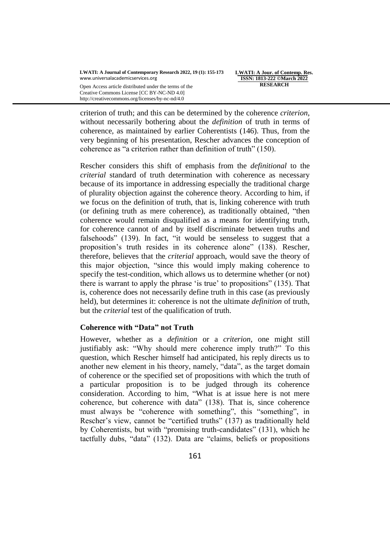Creative Commons License [CC BY-NC-ND 4.0] http://creativecommons.org/licenses/by-nc-nd/4.0

**LWATI: A Jour. of Contemp. Res. ISSN: 1813-222 ©March 2022 RESEARCH**

criterion of truth; and this can be determined by the coherence *criterion*, without necessarily bothering about the *definition* of truth in terms of coherence, as maintained by earlier Coherentists (146). Thus, from the very beginning of his presentation, Rescher advances the conception of coherence as "a criterion rather than definition of truth" (150).

Rescher considers this shift of emphasis from the *definitional* to the *criterial* standard of truth determination with coherence as necessary because of its importance in addressing especially the traditional charge of plurality objection against the coherence theory. According to him, if we focus on the definition of truth, that is, linking coherence with truth (or defining truth as mere coherence), as traditionally obtained, "then coherence would remain disqualified as a means for identifying truth, for coherence cannot of and by itself discriminate between truths and falsehoods" (139). In fact, "it would be senseless to suggest that a proposition"s truth resides in its coherence alone" (138). Rescher, therefore, believes that the *criterial* approach, would save the theory of this major objection, "since this would imply making coherence to specify the test-condition, which allows us to determine whether (or not) there is warrant to apply the phrase "is true" to propositions" (135). That is, coherence does not necessarily define truth in this case (as previously held), but determines it: coherence is not the ultimate *definition* of truth, but the *criterial* test of the qualification of truth.

## **Coherence with "Data" not Truth**

However, whether as a *definition* or a *criterion*, one might still justifiably ask: "Why should mere coherence imply truth?" To this question, which Rescher himself had anticipated, his reply directs us to another new element in his theory, namely, "data", as the target domain of coherence or the specified set of propositions with which the truth of a particular proposition is to be judged through its coherence consideration. According to him, "What is at issue here is not mere coherence, but coherence with data" (138). That is, since coherence must always be "coherence with something", this "something", in Rescher's view, cannot be "certified truths" (137) as traditionally held by Coherentists, but with "promising truth-candidates" (131), which he tactfully dubs, "data" (132). Data are "claims, beliefs or propositions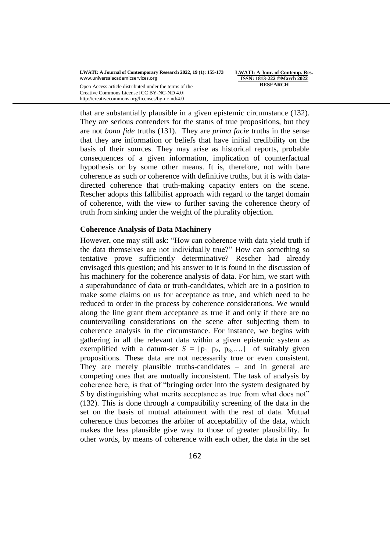Creative Commons License [CC BY-NC-ND 4.0] http://creativecommons.org/licenses/by-nc-nd/4.0

**LWATI: A Jour. of Contemp. Res. ISSN: 1813-222 ©March 2022 RESEARCH**

that are substantially plausible in a given epistemic circumstance (132). They are serious contenders for the status of true propositions, but they are not *bona fide* truths (131). They are *prima facie* truths in the sense that they are information or beliefs that have initial credibility on the basis of their sources. They may arise as historical reports, probable consequences of a given information, implication of counterfactual hypothesis or by some other means. It is, therefore, not with bare coherence as such or coherence with definitive truths, but it is with datadirected coherence that truth-making capacity enters on the scene. Rescher adopts this fallibilist approach with regard to the target domain of coherence, with the view to further saving the coherence theory of truth from sinking under the weight of the plurality objection*.*

#### **Coherence Analysis of Data Machinery**

However, one may still ask: "How can coherence with data yield truth if the data themselves are not individually true?" How can something so tentative prove sufficiently determinative? Rescher had already envisaged this question; and his answer to it is found in the discussion of his machinery for the coherence analysis of data. For him, we start with a superabundance of data or truth-candidates, which are in a position to make some claims on us for acceptance as true, and which need to be reduced to order in the process by coherence considerations. We would along the line grant them acceptance as true if and only if there are no countervailing considerations on the scene after subjecting them to coherence analysis in the circumstance. For instance, we begins with gathering in all the relevant data within a given epistemic system as exemplified with a datum-set  $S = [p_1, p_2, p_3, \dots]$  of suitably given propositions. These data are not necessarily true or even consistent. They are merely plausible truths-candidates – and in general are competing ones that are mutually inconsistent. The task of analysis by coherence here, is that of "bringing order into the system designated by *S* by distinguishing what merits acceptance as true from what does not" (132). This is done through a compatibility screening of the data in the set on the basis of mutual attainment with the rest of data. Mutual coherence thus becomes the arbiter of acceptability of the data, which makes the less plausible give way to those of greater plausibility. In other words, by means of coherence with each other, the data in the set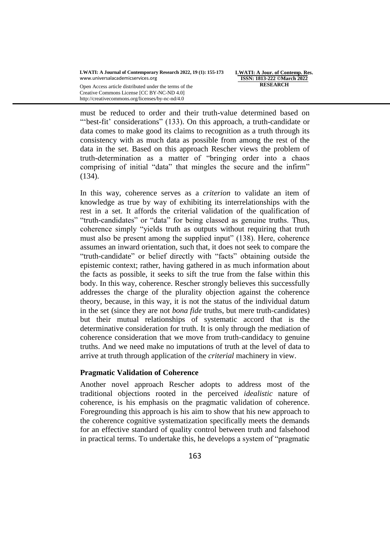Open Access article distributed under the terms of the Creative Commons License [CC BY-NC-ND 4.0] http://creativecommons.org/licenses/by-nc-nd/4.0

**LWATI: A Jour. of Contemp. Res. ISSN: 1813-222 ©March 2022 RESEARCH**

must be reduced to order and their truth-value determined based on ""best-fit' considerations" (133). On this approach, a truth-candidate or data comes to make good its claims to recognition as a truth through its consistency with as much data as possible from among the rest of the data in the set. Based on this approach Rescher views the problem of truth-determination as a matter of "bringing order into a chaos comprising of initial "data" that mingles the secure and the infirm" (134).

In this way, coherence serves as a *criterion* to validate an item of knowledge as true by way of exhibiting its interrelationships with the rest in a set. It affords the criterial validation of the qualification of "truth-candidates" or "data" for being classed as genuine truths. Thus, coherence simply "yields truth as outputs without requiring that truth must also be present among the supplied input" (138). Here, coherence assumes an inward orientation, such that, it does not seek to compare the "truth-candidate" or belief directly with "facts" obtaining outside the epistemic context; rather, having gathered in as much information about the facts as possible, it seeks to sift the true from the false within this body. In this way, coherence. Rescher strongly believes this successfully addresses the charge of the plurality objection against the coherence theory, because, in this way, it is not the status of the individual datum in the set (since they are not *bona fide* truths, but mere truth-candidates) but their mutual relationships of systematic accord that is the determinative consideration for truth. It is only through the mediation of coherence consideration that we move from truth-candidacy to genuine truths. And we need make no imputations of truth at the level of data to arrive at truth through application of the *criterial* machinery in view.

### **Pragmatic Validation of Coherence**

Another novel approach Rescher adopts to address most of the traditional objections rooted in the perceived *idealistic* nature of coherence, is his emphasis on the pragmatic validation of coherence. Foregrounding this approach is his aim to show that his new approach to the coherence cognitive systematization specifically meets the demands for an effective standard of quality control between truth and falsehood in practical terms. To undertake this, he develops a system of "pragmatic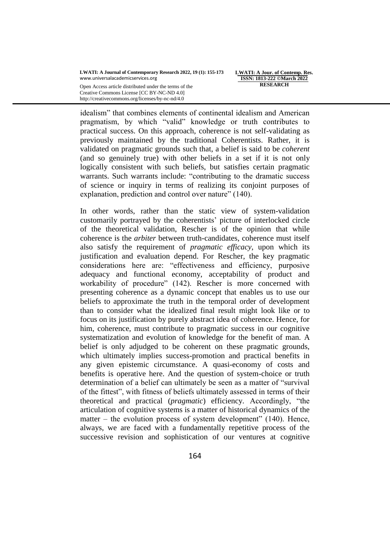Creative Commons License [CC BY-NC-ND 4.0] http://creativecommons.org/licenses/by-nc-nd/4.0

**LWATI: A Jour. of Contemp. Res. ISSN: 1813-222 ©March 2022 RESEARCH**

idealism" that combines elements of continental idealism and American pragmatism, by which "valid" knowledge or truth contributes to practical success. On this approach, coherence is not self-validating as previously maintained by the traditional Coherentists. Rather, it is validated on pragmatic grounds such that, a belief is said to be *coherent* (and so genuinely true) with other beliefs in a set if it is not only logically consistent with such beliefs, but satisfies certain pragmatic warrants. Such warrants include: "contributing to the dramatic success of science or inquiry in terms of realizing its conjoint purposes of explanation, prediction and control over nature" (140).

In other words, rather than the static view of system-validation customarily portrayed by the coherentists" picture of interlocked circle of the theoretical validation, Rescher is of the opinion that while coherence is the *arbiter* between truth-candidates, coherence must itself also satisfy the requirement of *pragmatic efficacy*, upon which its justification and evaluation depend. For Rescher, the key pragmatic considerations here are: "effectiveness and efficiency, purposive adequacy and functional economy, acceptability of product and workability of procedure" (142). Rescher is more concerned with presenting coherence as a dynamic concept that enables us to use our beliefs to approximate the truth in the temporal order of development than to consider what the idealized final result might look like or to focus on its justification by purely abstract idea of coherence. Hence, for him, coherence, must contribute to pragmatic success in our cognitive systematization and evolution of knowledge for the benefit of man. A belief is only adjudged to be coherent on these pragmatic grounds, which ultimately implies success-promotion and practical benefits in any given epistemic circumstance. A quasi-economy of costs and benefits is operative here. And the question of system-choice or truth determination of a belief can ultimately be seen as a matter of "survival of the fittest", with fitness of beliefs ultimately assessed in terms of their theoretical and practical (*pragmatic*) efficiency. Accordingly, "the articulation of cognitive systems is a matter of historical dynamics of the matter – the evolution process of system development"  $(140)$ . Hence, always, we are faced with a fundamentally repetitive process of the successive revision and sophistication of our ventures at cognitive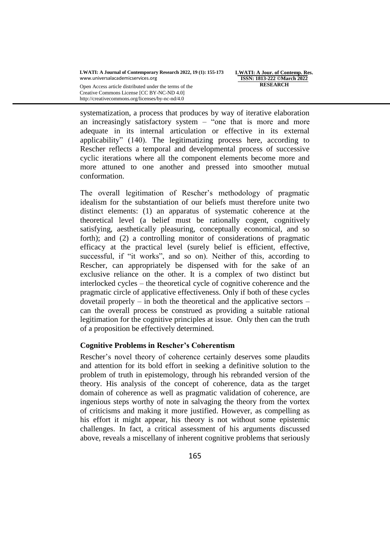**LWATI: A Jour. of Contemp. Res. ISSN: 1813-222 ©March 2022 RESEARCH**

Open Access article distributed under the terms of the Creative Commons License [CC BY-NC-ND 4.0] http://creativecommons.org/licenses/by-nc-nd/4.0

systematization, a process that produces by way of iterative elaboration an increasingly satisfactory system – "one that is more and more adequate in its internal articulation or effective in its external applicability" (140). The legitimatizing process here, according to Rescher reflects a temporal and developmental process of successive cyclic iterations where all the component elements become more and more attuned to one another and pressed into smoother mutual conformation.

The overall legitimation of Rescher"s methodology of pragmatic idealism for the substantiation of our beliefs must therefore unite two distinct elements: (1) an apparatus of systematic coherence at the theoretical level (a belief must be rationally cogent, cognitively satisfying, aesthetically pleasuring, conceptually economical, and so forth); and (2) a controlling monitor of considerations of pragmatic efficacy at the practical level (surely belief is efficient, effective, successful, if "it works", and so on). Neither of this, according to Rescher, can appropriately be dispensed with for the sake of an exclusive reliance on the other. It is a complex of two distinct but interlocked cycles – the theoretical cycle of cognitive coherence and the pragmatic circle of applicative effectiveness. Only if both of these cycles dovetail properly – in both the theoretical and the applicative sectors – can the overall process be construed as providing a suitable rational legitimation for the cognitive principles at issue. Only then can the truth of a proposition be effectively determined.

# **Cognitive Problems in Rescher"s Coherentism**

Rescher"s novel theory of coherence certainly deserves some plaudits and attention for its bold effort in seeking a definitive solution to the problem of truth in epistemology, through his rebranded version of the theory. His analysis of the concept of coherence, data as the target domain of coherence as well as pragmatic validation of coherence, are ingenious steps worthy of note in salvaging the theory from the vortex of criticisms and making it more justified. However, as compelling as his effort it might appear, his theory is not without some epistemic challenges. In fact, a critical assessment of his arguments discussed above, reveals a miscellany of inherent cognitive problems that seriously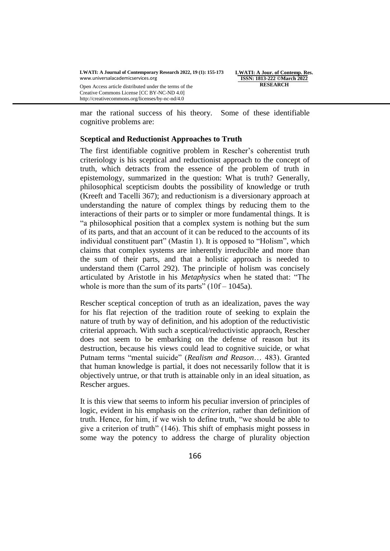Creative Commons License [CC BY-NC-ND 4.0] http://creativecommons.org/licenses/by-nc-nd/4.0

**LWATI: A Jour. of Contemp. Res. ISSN: 1813-222 ©March 2022 RESEARCH**

mar the rational success of his theory. Some of these identifiable cognitive problems are:

### **Sceptical and Reductionist Approaches to Truth**

The first identifiable cognitive problem in Rescher's coherentist truth criteriology is his sceptical and reductionist approach to the concept of truth, which detracts from the essence of the problem of truth in epistemology, summarized in the question: What is truth? Generally, philosophical scepticism doubts the possibility of knowledge or truth (Kreeft and Tacelli 367); and reductionism is a diversionary approach at understanding the nature of complex things by reducing them to the interactions of their parts or to simpler or more fundamental things. It is "a philosophical position that a complex system is nothing but the sum of its parts, and that an account of it can be reduced to the accounts of its individual constituent part" (Mastin 1). It is opposed to "Holism", which claims that complex systems are inherently irreducible and more than the sum of their parts, and that a holistic approach is needed to understand them (Carrol 292). The principle of holism was concisely articulated by Aristotle in his *Metaphysics* when he stated that: "The whole is more than the sum of its parts"  $(10f - 1045a)$ .

Rescher sceptical conception of truth as an idealization, paves the way for his flat rejection of the tradition route of seeking to explain the nature of truth by way of definition, and his adoption of the reductivistic criterial approach. With such a sceptical/reductivistic appraoch, Rescher does not seem to be embarking on the defense of reason but its destruction, because his views could lead to cognitive suicide, or what Putnam terms "mental suicide" (*Realism and Reason*… 483). Granted that human knowledge is partial, it does not necessarily follow that it is objectively untrue, or that truth is attainable only in an ideal situation, as Rescher argues.

It is this view that seems to inform his peculiar inversion of principles of logic, evident in his emphasis on the *criterion*, rather than definition of truth. Hence, for him, if we wish to define truth, "we should be able to give a criterion of truth" (146). This shift of emphasis might possess in some way the potency to address the charge of plurality objection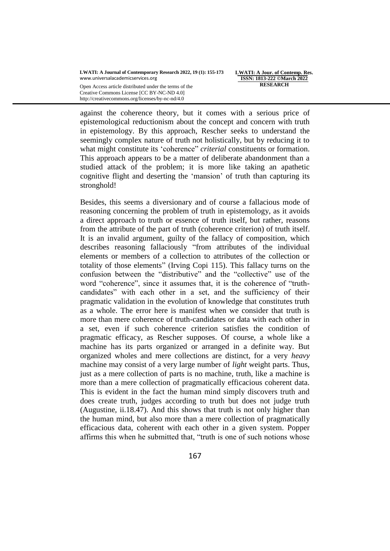Open Access article distributed under the terms of the Creative Commons License [CC BY-NC-ND 4.0] http://creativecommons.org/licenses/by-nc-nd/4.0

**LWATI: A Jour. of Contemp. Res. ISSN: 1813-222 ©March 2022 RESEARCH**

against the coherence theory, but it comes with a serious price of epistemological reductionism about the concept and concern with truth in epistemology. By this approach, Rescher seeks to understand the seemingly complex nature of truth not holistically, but by reducing it to what might constitute its "coherence" *criterial* constituents or formation. This approach appears to be a matter of deliberate abandonment than a studied attack of the problem; it is more like taking an apathetic cognitive flight and deserting the "mansion" of truth than capturing its stronghold!

Besides, this seems a diversionary and of course a fallacious mode of reasoning concerning the problem of truth in epistemology, as it avoids a direct approach to truth or essence of truth itself, but rather, reasons from the attribute of the part of truth (coherence criterion) of truth itself. It is an invalid argument, guilty of the fallacy of composition, which describes reasoning fallaciously "from attributes of the individual elements or members of a collection to attributes of the collection or totality of those elements" (Irving Copi 115). This fallacy turns on the confusion between the "distributive" and the "collective" use of the word "coherence", since it assumes that, it is the coherence of "truthcandidates" with each other in a set, and the sufficiency of their pragmatic validation in the evolution of knowledge that constitutes truth as a whole. The error here is manifest when we consider that truth is more than mere coherence of truth-candidates or data with each other in a set, even if such coherence criterion satisfies the condition of pragmatic efficacy, as Rescher supposes. Of course, a whole like a machine has its parts organized or arranged in a definite way. But organized wholes and mere collections are distinct, for a very *heavy* machine may consist of a very large number of *light* weight parts. Thus, just as a mere collection of parts is no machine, truth, like a machine is more than a mere collection of pragmatically efficacious coherent data. This is evident in the fact the human mind simply discovers truth and does create truth, judges according to truth but does not judge truth (Augustine, ii.18.47). And this shows that truth is not only higher than the human mind, but also more than a mere collection of pragmatically efficacious data, coherent with each other in a given system. Popper affirms this when he submitted that, "truth is one of such notions whose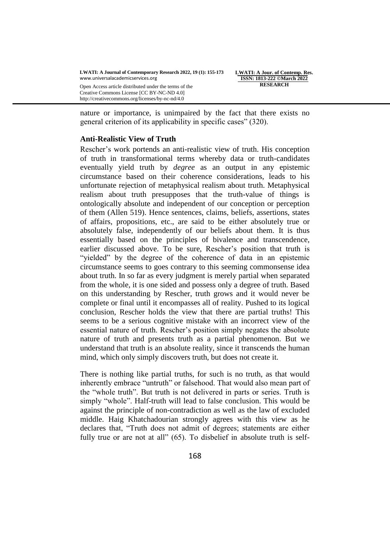**LWATI: A Jour. of Contemp. Res. ISSN: 1813-222 ©March 2022 RESEARCH**

nature or importance, is unimpaired by the fact that there exists no general criterion of its applicability in specific cases" (320).

#### **Anti-Realistic View of Truth**

Creative Commons License [CC BY-NC-ND 4.0] http://creativecommons.org/licenses/by-nc-nd/4.0

Rescher"s work portends an anti-realistic view of truth. His conception of truth in transformational terms whereby data or truth-candidates eventually yield truth by *degree* as an output in any epistemic circumstance based on their coherence considerations, leads to his unfortunate rejection of metaphysical realism about truth. Metaphysical realism about truth presupposes that the truth-value of things is ontologically absolute and independent of our conception or perception of them (Allen 519). Hence sentences, claims, beliefs, assertions, states of affairs, propositions, etc., are said to be either absolutely true or absolutely false, independently of our beliefs about them. It is thus essentially based on the principles of bivalence and transcendence, earlier discussed above. To be sure, Rescher"s position that truth is "yielded" by the degree of the coherence of data in an epistemic circumstance seems to goes contrary to this seeming commonsense idea about truth. In so far as every judgment is merely partial when separated from the whole, it is one sided and possess only a degree of truth. Based on this understanding by Rescher, truth grows and it would never be complete or final until it encompasses all of reality. Pushed to its logical conclusion, Rescher holds the view that there are partial truths! This seems to be a serious cognitive mistake with an incorrect view of the essential nature of truth. Rescher"s position simply negates the absolute nature of truth and presents truth as a partial phenomenon. But we understand that truth is an absolute reality, since it transcends the human mind, which only simply discovers truth, but does not create it.

There is nothing like partial truths, for such is no truth, as that would inherently embrace "untruth" or falsehood. That would also mean part of the "whole truth". But truth is not delivered in parts or series. Truth is simply "whole". Half-truth will lead to false conclusion. This would be against the principle of non-contradiction as well as the law of excluded middle. Haig Khatchadourian strongly agrees with this view as he declares that, "Truth does not admit of degrees; statements are either fully true or are not at all" (65). To disbelief in absolute truth is self-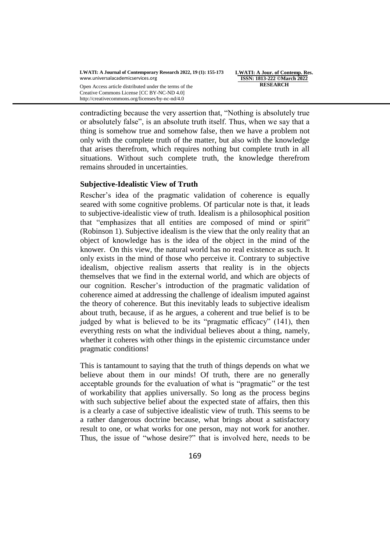**LWATI: A Jour. of Contemp. Res. ISSN: 1813-222 ©March 2022 RESEARCH**

Open Access article distributed under the terms of the Creative Commons License [CC BY-NC-ND 4.0] http://creativecommons.org/licenses/by-nc-nd/4.0

contradicting because the very assertion that, "Nothing is absolutely true or absolutely false", is an absolute truth itself. Thus, when we say that a thing is somehow true and somehow false, then we have a problem not only with the complete truth of the matter, but also with the knowledge that arises therefrom, which requires nothing but complete truth in all situations. Without such complete truth, the knowledge therefrom remains shrouded in uncertainties.

## **Subjective-Idealistic View of Truth**

Rescher"s idea of the pragmatic validation of coherence is equally seared with some cognitive problems. Of particular note is that, it leads to subjective-idealistic view of truth. Idealism is a philosophical position that "emphasizes that all entities are composed of mind or spirit" (Robinson 1). Subjective idealism is the view that the only reality that an object of knowledge has is the idea of the object in the mind of the knower. On this view, the natural world has no real existence as such. It only exists in the mind of those who perceive it. Contrary to subjective idealism, objective realism asserts that reality is in the objects themselves that we find in the external world, and which are objects of our cognition. Rescher"s introduction of the pragmatic validation of coherence aimed at addressing the challenge of idealism imputed against the theory of coherence. But this inevitably leads to subjective idealism about truth, because, if as he argues, a coherent and true belief is to be judged by what is believed to be its "pragmatic efficacy" (141), then everything rests on what the individual believes about a thing, namely, whether it coheres with other things in the epistemic circumstance under pragmatic conditions!

This is tantamount to saying that the truth of things depends on what we believe about them in our minds! Of truth, there are no generally acceptable grounds for the evaluation of what is "pragmatic" or the test of workability that applies universally. So long as the process begins with such subjective belief about the expected state of affairs, then this is a clearly a case of subjective idealistic view of truth. This seems to be a rather dangerous doctrine because, what brings about a satisfactory result to one, or what works for one person, may not work for another. Thus, the issue of "whose desire?" that is involved here, needs to be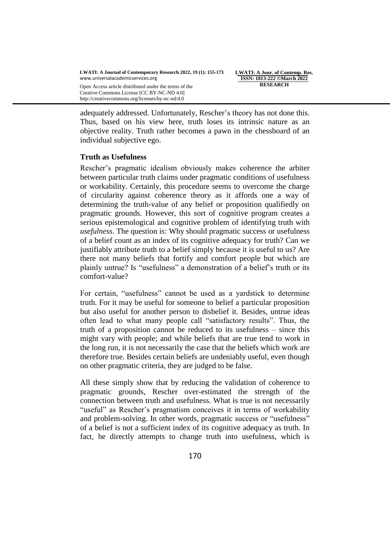http://creativecommons.org/licenses/by-nc-nd/4.0

**LWATI: A Jour. of Contemp. Res. ISSN: 1813-222 ©March 2022 RESEARCH**

adequately addressed. Unfortunately, Rescher's theory has not done this. Thus, based on his view here, truth loses its intrinsic nature as an objective reality. Truth rather becomes a pawn in the chessboard of an individual subjective ego.

### **Truth as Usefulness**

Rescher"s pragmatic idealism obviously makes coherence the arbiter between particular truth claims under pragmatic conditions of usefulness or workability. Certainly, this procedure seems to overcome the charge of circularity against coherence theory as it affords one a way of determining the truth-value of any belief or proposition qualifiedly on pragmatic grounds. However, this sort of cognitive program creates a serious epistemological and cognitive problem of identifying truth with *usefulness*. The question is: Why should pragmatic success or usefulness of a belief count as an index of its cognitive adequacy for truth? Can we justifiably attribute truth to a belief simply because it is useful to us? Are there not many beliefs that fortify and comfort people but which are plainly untrue? Is "usefulness" a demonstration of a belief"s truth or its comfort-value?

For certain, "usefulness" cannot be used as a yardstick to determine truth. For it may be useful for someone to belief a particular proposition but also useful for another person to disbelief it. Besides, untrue ideas often lead to what many people call "satisfactory results". Thus, the truth of a proposition cannot be reduced to its usefulness – since this might vary with people; and while beliefs that are true tend to work in the long run, it is not necessarily the case that the beliefs which work are therefore true. Besides certain beliefs are undeniably useful, even though on other pragmatic criteria, they are judged to be false.

All these simply show that by reducing the validation of coherence to pragmatic grounds, Rescher over-estimated the strength of the connection between truth and usefulness. What is true is not necessarily "useful" as Rescher's pragmatism conceives it in terms of workability and problem-solving. In other words, pragmatic success or "usefulness" of a belief is not a sufficient index of its cognitive adequacy as truth. In fact, he directly attempts to change truth into usefulness, which is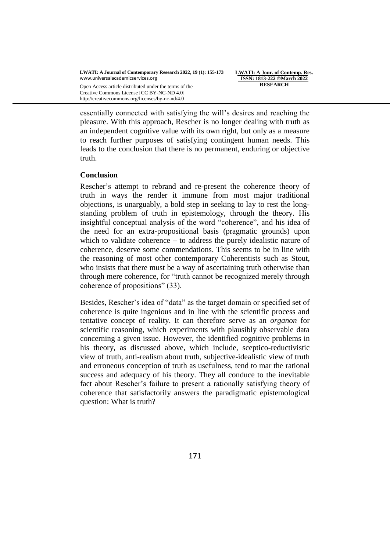**LWATI: A Jour. of Contemp. Res. ISSN: 1813-222 ©March 2022 RESEARCH**

Open Access article distributed under the terms of the Creative Commons License [CC BY-NC-ND 4.0] http://creativecommons.org/licenses/by-nc-nd/4.0

essentially connected with satisfying the will"s desires and reaching the pleasure. With this approach, Rescher is no longer dealing with truth as an independent cognitive value with its own right, but only as a measure to reach further purposes of satisfying contingent human needs. This leads to the conclusion that there is no permanent, enduring or objective truth.

### **Conclusion**

Rescher"s attempt to rebrand and re-present the coherence theory of truth in ways the render it immune from most major traditional objections, is unarguably, a bold step in seeking to lay to rest the longstanding problem of truth in epistemology, through the theory. His insightful conceptual analysis of the word "coherence", and his idea of the need for an extra-propositional basis (pragmatic grounds) upon which to validate coherence – to address the purely idealistic nature of coherence, deserve some commendations. This seems to be in line with the reasoning of most other contemporary Coherentists such as Stout, who insists that there must be a way of ascertaining truth otherwise than through mere coherence, for "truth cannot be recognized merely through coherence of propositions" (33).

Besides, Rescher's idea of "data" as the target domain or specified set of coherence is quite ingenious and in line with the scientific process and tentative concept of reality. It can therefore serve as an *organon* for scientific reasoning, which experiments with plausibly observable data concerning a given issue. However, the identified cognitive problems in his theory, as discussed above, which include, sceptico-reductivistic view of truth, anti-realism about truth, subjective-idealistic view of truth and erroneous conception of truth as usefulness, tend to mar the rational success and adequacy of his theory. They all conduce to the inevitable fact about Rescher"s failure to present a rationally satisfying theory of coherence that satisfactorily answers the paradigmatic epistemological question: What is truth?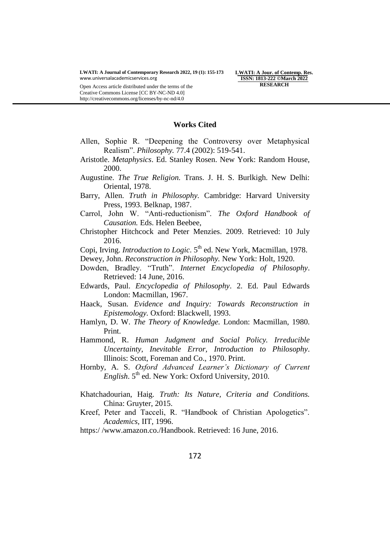**LWATI: A Jour. of Contemp. Res. ISSN: 1813-222 ©March 2022 RESEARCH**

#### **Works Cited**

- Allen, Sophie R. "Deepening the Controversy over Metaphysical Realism". *Philosophy.* 77.4 (2002): 519-541.
- Aristotle. *Metaphysics*. Ed. Stanley Rosen. New York: Random House, 2000.
- Augustine. *The True Religion.* Trans. J. H. S. Burlkigh. New Delhi: Oriental, 1978.
- Barry, Allen. *Truth in Philosophy.* Cambridge: Harvard University Press, 1993. Belknap, 1987.
- Carrol, John W. "Anti-reductionism". *The Oxford Handbook of Causation.* Eds. Helen Beebee,
- Christopher Hitchcock and Peter Menzies. 2009. Retrieved: 10 July 2016.
- Copi, Irving. *Introduction to Logic*. 5<sup>th</sup> ed. New York, Macmillan, 1978.
- Dewey, John. *Reconstruction in Philosophy.* New York: Holt, 1920.
- Dowden, Bradley. "Truth". *Internet Encyclopedia of Philosophy*. Retrieved: 14 June, 2016.
- Edwards, Paul. *Encyclopedia of Philosophy*. 2. Ed. Paul Edwards London: Macmillan, 1967.
- Haack, Susan. *Evidence and Inquiry: Towards Reconstruction in Epistemology.* Oxford: Blackwell, 1993.
- Hamlyn, D. W. *The Theory of Knowledge.* London: Macmillan, 1980. Print.
- Hammond, R. *Human Judgment and Social Policy. Irreducible Uncertainty, Inevitable Error, Introduction to Philosophy*. Illinois: Scott, Foreman and Co., 1970. Print.
- Hornby, A. S. *Oxford Advanced Learner's Dictionary of Current English*. 5<sup>th</sup> ed. New York: Oxford University, 2010.
- Khatchadourian, Haig. *Truth: Its Nature, Criteria and Conditions.*  China: Gruyter, 2015.
- Kreef, Peter and Tacceli, R. "Handbook of Christian Apologetics". *Academics,* IIT, 1996.
- https:/ /www.amazon.co./Handbook. Retrieved: 16 June, 2016.